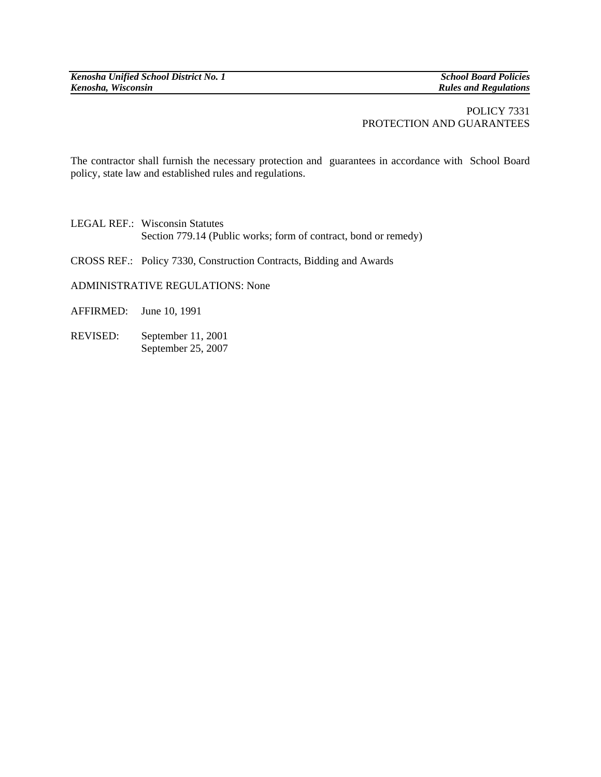*Kenosha Unified School District No. 1* School Board Policies **School Board Policies** *Kenosha, Wisconsin Kenosha, Wisconsin Kenosha, Wisconsin* 

*Rules and Regulations* 

## POLICY 7331 PROTECTION AND GUARANTEES

The contractor shall furnish the necessary protection and guarantees in accordance with School Board policy, state law and established rules and regulations.

LEGAL REF.: Wisconsin Statutes Section 779.14 (Public works; form of contract, bond or remedy)

CROSS REF.: Policy 7330, Construction Contracts, Bidding and Awards

ADMINISTRATIVE REGULATIONS: None

AFFIRMED: June 10, 1991

REVISED: September 11, 2001 September 25, 2007